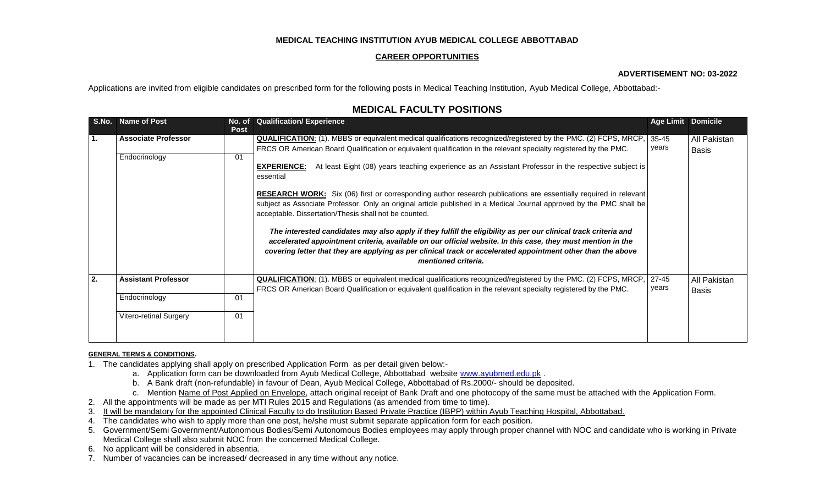## **MEDICAL TEACHING INSTITUTION AYUB MEDICAL COLLEGE ABBOTTABAD**

### **CAREER OPPORTUNITIES**

#### **ADVERTISEMENT NO: 03-2022**

Applications are invited from eligible candidates on prescribed form for the following posts in Medical Teaching Institution, Ayub Medical College, Abbottabad:-

# **MEDICAL FACULTY POSITIONS**

|    | S.No. Name of Post            | No. of<br><b>Post</b> | <b>Qualification/Experience</b>                                                                                                                                                                                                                                                                                                                                       | <b>Age Limit Domicile</b> |              |
|----|-------------------------------|-----------------------|-----------------------------------------------------------------------------------------------------------------------------------------------------------------------------------------------------------------------------------------------------------------------------------------------------------------------------------------------------------------------|---------------------------|--------------|
| 1. | <b>Associate Professor</b>    |                       | <b>QUALIFICATION:</b> (1). MBBS or equivalent medical qualifications recognized/registered by the PMC. (2) FCPS, MRCP,                                                                                                                                                                                                                                                | 35-45                     | All Pakistan |
|    |                               |                       | FRCS OR American Board Qualification or equivalent qualification in the relevant specialty registered by the PMC.                                                                                                                                                                                                                                                     | years                     | <b>Basis</b> |
|    | Endocrinology                 | 01                    |                                                                                                                                                                                                                                                                                                                                                                       |                           |              |
|    |                               |                       | At least Eight (08) years teaching experience as an Assistant Professor in the respective subject is<br><b>EXPERIENCE:</b><br>essential                                                                                                                                                                                                                               |                           |              |
|    |                               |                       | RESEARCH WORK: Six (06) first or corresponding author research publications are essentially required in relevant                                                                                                                                                                                                                                                      |                           |              |
|    |                               |                       | subject as Associate Professor. Only an original article published in a Medical Journal approved by the PMC shall be<br>acceptable. Dissertation/Thesis shall not be counted.                                                                                                                                                                                         |                           |              |
|    |                               |                       | The interested candidates may also apply if they fulfill the eligibility as per our clinical track criteria and<br>accelerated appointment criteria, available on our official website. In this case, they must mention in the<br>covering letter that they are applying as per clinical track or accelerated appointment other than the above<br>mentioned criteria. |                           |              |
| 2. | <b>Assistant Professor</b>    |                       | <b>QUALIFICATION:</b> (1). MBBS or equivalent medical qualifications recognized/registered by the PMC. (2) FCPS, MRCP,                                                                                                                                                                                                                                                | 27-45<br>years            | All Pakistan |
|    |                               |                       | FRCS OR American Board Qualification or equivalent qualification in the relevant specialty registered by the PMC.                                                                                                                                                                                                                                                     |                           | <b>Basis</b> |
|    | Endocrinology                 | 01                    |                                                                                                                                                                                                                                                                                                                                                                       |                           |              |
|    | <b>Vitero-retinal Surgery</b> | 01                    |                                                                                                                                                                                                                                                                                                                                                                       |                           |              |

#### **GENERAL TERMS & CONDITIONS.**

- 1. The candidates applying shall apply on prescribed Application Form as per detail given below:
	- a. Application form can be downloaded from Ayub Medical College, Abbottabad website [www.ayubmed.edu.pk](http://www.ayubmed.edu.pk/) .
	- b. A Bank draft (non-refundable) in favour of Dean, Ayub Medical College, Abbottabad of Rs.2000/- should be deposited.
	- c. Mention Name of Post Applied on Envelope, attach original receipt of Bank Draft and one photocopy of the same must be attached with the Application Form.
- 2. All the appointments will be made as per MTI Rules 2015 and Regulations (as amended from time to time).
- 3. It will be mandatory for the appointed Clinical Faculty to do Institution Based Private Practice (IBPP) within Ayub Teaching Hospital, Abbottabad.
- 4. The candidates who wish to apply more than one post, he/she must submit separate application form for each position.
- 5. Government/Semi Government/Autonomous Bodies/Semi Autonomous Bodies employees may apply through proper channel with NOC and candidate who is working in Private Medical College shall also submit NOC from the concerned Medical College.
- 6. No applicant will be considered in absentia.
- 7. Number of vacancies can be increased/ decreased in any time without any notice.